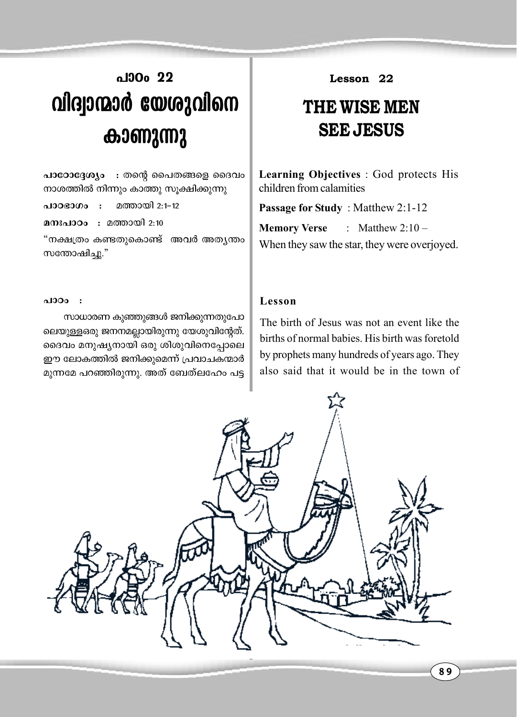## **al**30<sub>0</sub> 22 **handam http://www.php/moment/controls.com കാണുന്നു**

 $\mu$ Jocoo $\alpha$ g $\omega$  : തന്റെ പൈതങ്ങളെ ദൈവം നാശത്തിൽ നിന്നും കാത്തു സൂക്ഷിക്കുന്നു

പാഠഭാഗം : മത്തായി 2:1-12

**aനഃപാഠം : മത്തായി 2:10** 

"നക്ഷത്രം കണ്ടതുകൊണ്ട് അവർ അതൃന്തം സന്തോഷിച്ചു."

## *-]mTw :*

സാധാരണ കുഞ്ഞുങ്ങൾ ജനിക്കുന്നതുപോ ലെയുള്ളഒരു ജനനമല്ലായിരുന്നു യേശുവിന്റേത്. ദൈവം മനുഷ്യനായി ഒരു ശിശുവിനെപ്പോലെ ഈ ലോകത്തിൽ ജനിക്കുമെന്ന് പ്രവാചകന്മാർ മുന്നമേ പറഞ്ഞിരുന്നു. അത് ബേത്ലഹേം പട്ട **Lesson 22**

## **THE WISE MEN SEE JESUS**

**Learning Objectives** : God protects His children from calamities

**Passage for Study** : Matthew 2:1-12 **Memory Verse** : Matthew 2:10 – When they saw the star, they were overjoyed.

## **Lesson**

The birth of Jesus was not an event like the births of normal babies. His birth was foretold by prophets many hundreds of years ago. They also said that it would be in the town of

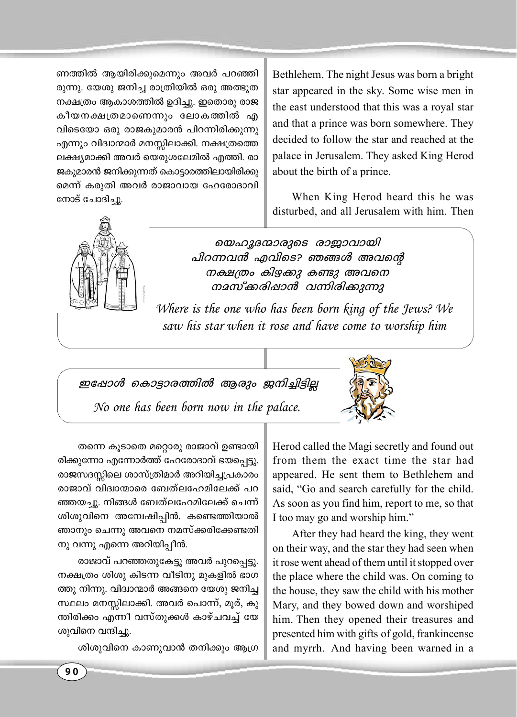ണത്തിൽ ആയിരിക്കുമെന്നും അവർ പറഞ്ഞി രുന്നു. യേശു ജനിച്ച രാത്രിയിൽ ഒരു അത്ഭുത നക്ഷത്രം ആകാശത്തിൽ ഉദിച്ചു. ഇതൊരു രാജ കീയനക്ഷത്രമാണെന്നും ലോകത്തിൽ എ വിടെയോ ഒരു രാജകുമാരൻ പിറന്നിരിക്കുന്നു എന്നും വിദ്വാന്മാർ മനസ്സിലാക്കി. നക്ഷത്രത്തെ ലക്ഷ്യമാക്കി അവർ യെരുശലേമിൽ എത്തി. രാ ജകുമാരൻ ജനിക്കുന്നത് കൊട്ടാരത്തിലായിരിക്കു മെന്ന് കരുതി അവർ രാജാവായ ഹേരോദാവി നോട് ചോദിച്ചു.

Bethlehem. The night Jesus was born a bright star appeared in the sky. Some wise men in the east understood that this was a royal star and that a prince was born somewhere. They decided to follow the star and reached at the palace in Jerusalem. They asked King Herod about the birth of a prince.

When King Herod heard this he was disturbed, and all Jerusalem with him. Then



യെഹുദന്മാരുടെ രാജാവായി പിറന്നവൻ എവിടെ? ഞങ്ങൾ അവന്റെ നക്ഷത്രം കിഴക്കു കണ്ടു അവനെ നമസ്ക്കരിഷാൻ വന്നിരിക്കുന്നു

Where is the one who has been born king of the Jews? We saw his star when it rose and have come to worship him

ഇഷോൾ കൊട്ടാരത്തിൽ ആരും ജനിച്ചിട്ടില്ല No one has been born now in the palace.



തന്നെ കൂടാതെ മറ്റൊരു രാജാവ് ഉണ്ടായി രിക്കുന്നോ എന്നോർത്ത് ഹേരോദാവ് ഭയപ്പെട്ടു. രാജസദസ്സിലെ ശാസ്ത്രിമാർ അറിയിച്ചപ്രകാരം രാജാവ് വിദ്വാന്മാരെ ബേത്ലഹേമിലേക്ക് പറ ഞ്ഞയച്ചു. നിങ്ങൾ ബേത്ലഹേമിലേക്ക് ചെന്ന് ശിശുവിനെ അന്വേഷിപ്പിൻ. കണ്ടെത്തിയാൽ ഞാനും ചെന്നു അവനെ നമസ്ക്കരിക്കേണ്ടതി നു വന്നു എന്നെ അറിയിപ്പീൻ.

രാജാവ് പറഞ്ഞതുകേട്ടു അവർ പുറപ്പെട്ടു. നക്ഷത്രം ശിശു കിടന്ന വീടിനു മുകളിൽ ഭാഗ ത്തു നിന്നു. വിദ്വാന്മാർ അങ്ങനെ യേശു ജനിച്ച സ്ഥലം മനസ്സിലാക്കി. അവർ പൊന്ന്, മുര്, കു ന്തിരിക്കം എന്നീ വസ്തുക്കൾ കാഴ്ചവച്ച് യേ ശുവിനെ വന്ദിച്ചു.

ശിശുവിനെ കാണുവാൻ തനിക്കും ആഗ്ര

Herod called the Magi secretly and found out from them the exact time the star had appeared. He sent them to Bethlehem and said, "Go and search carefully for the child. As soon as you find him, report to me, so that I too may go and worship him."

After they had heard the king, they went on their way, and the star they had seen when it rose went ahead of them until it stopped over the place where the child was. On coming to the house, they saw the child with his mother Mary, and they bowed down and worshiped him. Then they opened their treasures and presented him with gifts of gold, frankincense and myrrh. And having been warned in a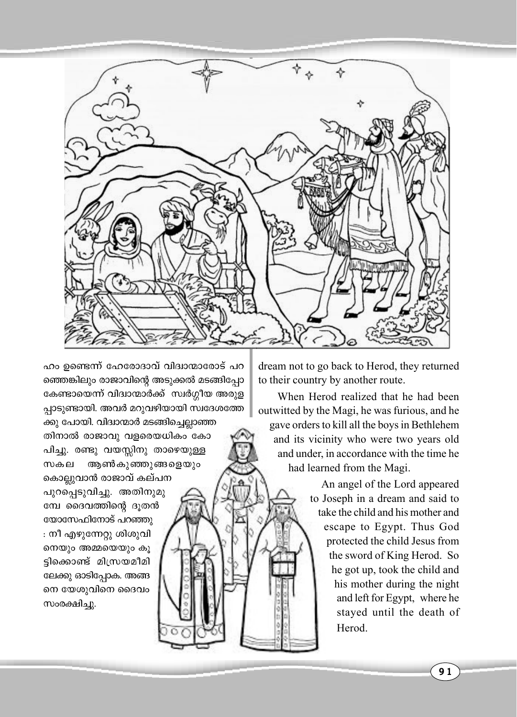

ഹം ഉണ്ടെന്ന് ഹേരോദാവ് വിദ്വാന്മാരോട് പറ ഞ്ഞെങ്കിലും രാജാവിന്റെ അടുക്കൽ മടങ്ങിപ്പോ കേണ്ടായെന്ന് വിദ്വാന്മാർക്ക് സ്വർഗ്ഗീയ അരുള പ്പാടുണ്ടായി. അവർ മറുവഴിയായി സ്വദേശത്തേ ക്കു പോയി. വിദ്വാന്മാർ മടങ്ങിച്ചെല്ലാഞ്ഞ

തിനാൽ രാജാവു വളരെയധികം കോ പിച്ചു. രണ്ടു വയസ്സിനു താഴെയുള്ള ആൺകുഞ്ഞുങ്ങളെയും സകല കൊല്ലുവാൻ രാജാവ് കല്പന

പുറപ്പെടുവിച്ചു. അതിനുമു മ്പേ ദൈവത്തിന്റെ ദൂതൻ യോസേഫിനോട് പറഞ്ഞു : നീ എഴുന്നേറ്റു ശിശുവി നെയും അമ്മയെയും കൂ ട്ടിക്കൊണ്ട് മിസ്രയമീമി ലേക്കു ഓടിപ്പോക. അങ്ങ നെ യേശുവിനെ ദൈവം സംരക്ഷിച്ചു.

dream not to go back to Herod, they returned to their country by another route.

When Herod realized that he had been outwitted by the Magi, he was furious, and he gave orders to kill all the boys in Bethlehem and its vicinity who were two years old and under, in accordance with the time he had learned from the Magi.

> An angel of the Lord appeared to Joseph in a dream and said to take the child and his mother and escape to Egypt. Thus God protected the child Jesus from the sword of King Herod. So he got up, took the child and his mother during the night and left for Egypt, where he stayed until the death of Herod

> > $91$